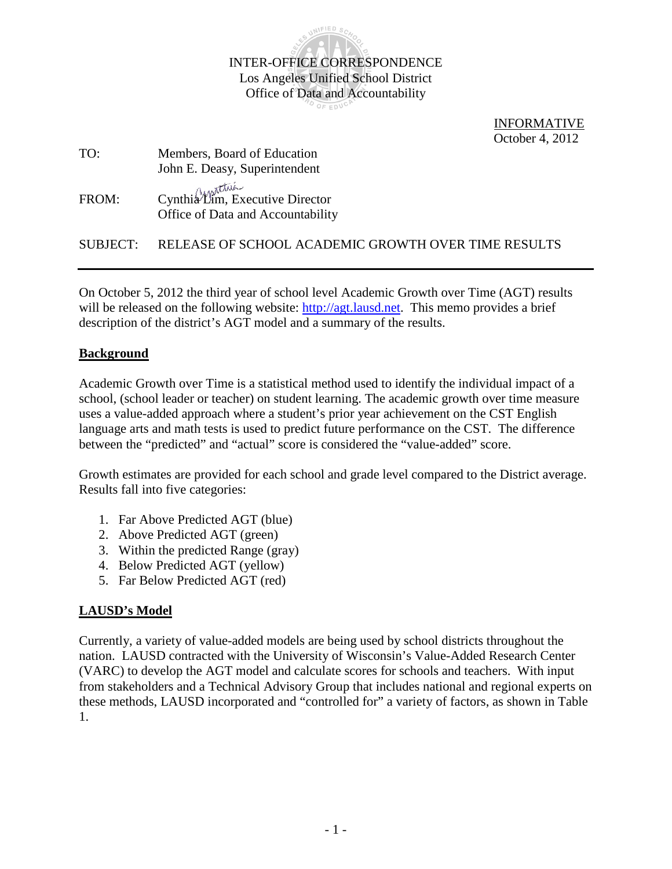

 INFORMATIVE October 4, 2012

| TO:      | Members, Board of Education                                          |
|----------|----------------------------------------------------------------------|
|          | John E. Deasy, Superintendent                                        |
| FROM:    | Cynthia Lim, Executive Director<br>Office of Data and Accountability |
| SUBJECT: | RELEASE OF SCHOOL ACADEMIC GROWTH OVER TIME RESULTS                  |

On October 5, 2012 the third year of school level Academic Growth over Time (AGT) results will be released on the following website: [http://agt.lausd.net.](http://agt.lausd.net/) This memo provides a brief description of the district's AGT model and a summary of the results.

### **Background**

Academic Growth over Time is a statistical method used to identify the individual impact of a school, (school leader or teacher) on student learning. The academic growth over time measure uses a value-added approach where a student's prior year achievement on the CST English language arts and math tests is used to predict future performance on the CST. The difference between the "predicted" and "actual" score is considered the "value-added" score.

Growth estimates are provided for each school and grade level compared to the District average. Results fall into five categories:

- 1. Far Above Predicted AGT (blue)
- 2. Above Predicted AGT (green)
- 3. Within the predicted Range (gray)
- 4. Below Predicted AGT (yellow)
- 5. Far Below Predicted AGT (red)

### **LAUSD's Model**

Currently, a variety of value-added models are being used by school districts throughout the nation. LAUSD contracted with the University of Wisconsin's Value-Added Research Center (VARC) to develop the AGT model and calculate scores for schools and teachers. With input from stakeholders and a Technical Advisory Group that includes national and regional experts on these methods, LAUSD incorporated and "controlled for" a variety of factors, as shown in Table 1.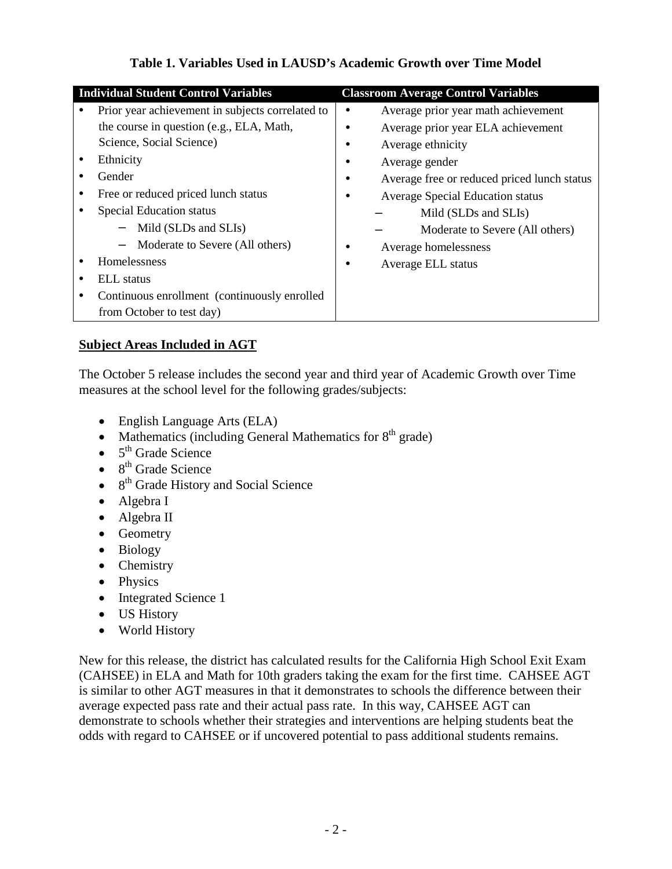| <b>Individual Student Control Variables</b>                                                                                                                                                                                                                                                                                                                                                              | <b>Classroom Average Control Variables</b>                                                                                                                                                                                                                                                                          |
|----------------------------------------------------------------------------------------------------------------------------------------------------------------------------------------------------------------------------------------------------------------------------------------------------------------------------------------------------------------------------------------------------------|---------------------------------------------------------------------------------------------------------------------------------------------------------------------------------------------------------------------------------------------------------------------------------------------------------------------|
| Prior year achievement in subjects correlated to<br>the course in question (e.g., ELA, Math,<br>Science, Social Science)<br>Ethnicity<br>Gender<br>Free or reduced priced lunch status<br><b>Special Education status</b><br>Mild (SLDs and SLIs)<br>- Moderate to Severe (All others)<br><b>Homelessness</b><br>ELL status<br>Continuous enrollment (continuously enrolled<br>from October to test day) | Average prior year math achievement<br>Average prior year ELA achievement<br>Average ethnicity<br>Average gender<br>Average free or reduced priced lunch status<br><b>Average Special Education status</b><br>Mild (SLDs and SLIs)<br>Moderate to Severe (All others)<br>Average homelessness<br>Average ELL status |

# **Table 1. Variables Used in LAUSD's Academic Growth over Time Model**

# **Subject Areas Included in AGT**

The October 5 release includes the second year and third year of Academic Growth over Time measures at the school level for the following grades/subjects:

- English Language Arts (ELA)
- Mathematics (including General Mathematics for  $8<sup>th</sup>$  grade)
- $\bullet$  5<sup>th</sup> Grade Science
- $\bullet$  8<sup>th</sup> Grade Science
- $\bullet$  8<sup>th</sup> Grade History and Social Science
- Algebra I
- Algebra II
- Geometry
- Biology
- Chemistry
- Physics
- Integrated Science 1
- US History
- World History

New for this release, the district has calculated results for the California High School Exit Exam (CAHSEE) in ELA and Math for 10th graders taking the exam for the first time. CAHSEE AGT is similar to other AGT measures in that it demonstrates to schools the difference between their average expected pass rate and their actual pass rate. In this way, CAHSEE AGT can demonstrate to schools whether their strategies and interventions are helping students beat the odds with regard to CAHSEE or if uncovered potential to pass additional students remains.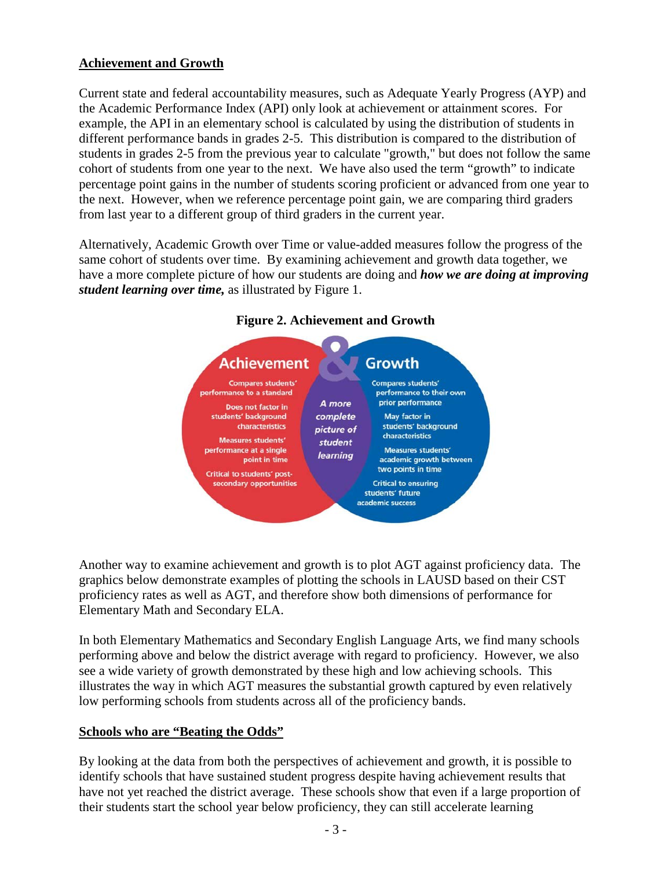## **Achievement and Growth**

Current state and federal accountability measures, such as Adequate Yearly Progress (AYP) and the Academic Performance Index (API) only look at achievement or attainment scores. For example, the API in an elementary school is calculated by using the distribution of students in different performance bands in grades 2-5. This distribution is compared to the distribution of students in grades 2-5 from the previous year to calculate "growth," but does not follow the same cohort of students from one year to the next. We have also used the term "growth" to indicate percentage point gains in the number of students scoring proficient or advanced from one year to the next. However, when we reference percentage point gain, we are comparing third graders from last year to a different group of third graders in the current year.

Alternatively, Academic Growth over Time or value-added measures follow the progress of the same cohort of students over time. By examining achievement and growth data together, we have a more complete picture of how our students are doing and *how we are doing at improving student learning over time,* as illustrated by Figure 1.



### **Figure 2. Achievement and Growth**

Another way to examine achievement and growth is to plot AGT against proficiency data. The graphics below demonstrate examples of plotting the schools in LAUSD based on their CST proficiency rates as well as AGT, and therefore show both dimensions of performance for Elementary Math and Secondary ELA.

In both Elementary Mathematics and Secondary English Language Arts, we find many schools performing above and below the district average with regard to proficiency. However, we also see a wide variety of growth demonstrated by these high and low achieving schools. This illustrates the way in which AGT measures the substantial growth captured by even relatively low performing schools from students across all of the proficiency bands.

### **Schools who are "Beating the Odds"**

By looking at the data from both the perspectives of achievement and growth, it is possible to identify schools that have sustained student progress despite having achievement results that have not yet reached the district average. These schools show that even if a large proportion of their students start the school year below proficiency, they can still accelerate learning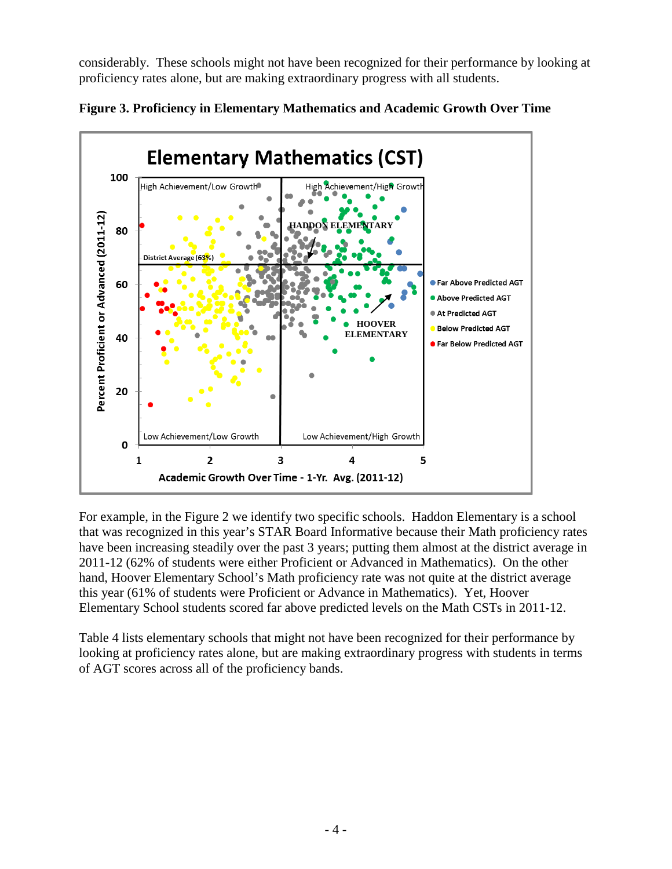considerably. These schools might not have been recognized for their performance by looking at proficiency rates alone, but are making extraordinary progress with all students.





For example, in the Figure 2 we identify two specific schools. Haddon Elementary is a school that was recognized in this year's STAR Board Informative because their Math proficiency rates have been increasing steadily over the past 3 years; putting them almost at the district average in 2011-12 (62% of students were either Proficient or Advanced in Mathematics). On the other hand, Hoover Elementary School's Math proficiency rate was not quite at the district average this year (61% of students were Proficient or Advance in Mathematics). Yet, Hoover Elementary School students scored far above predicted levels on the Math CSTs in 2011-12.

Table 4 lists elementary schools that might not have been recognized for their performance by looking at proficiency rates alone, but are making extraordinary progress with students in terms of AGT scores across all of the proficiency bands.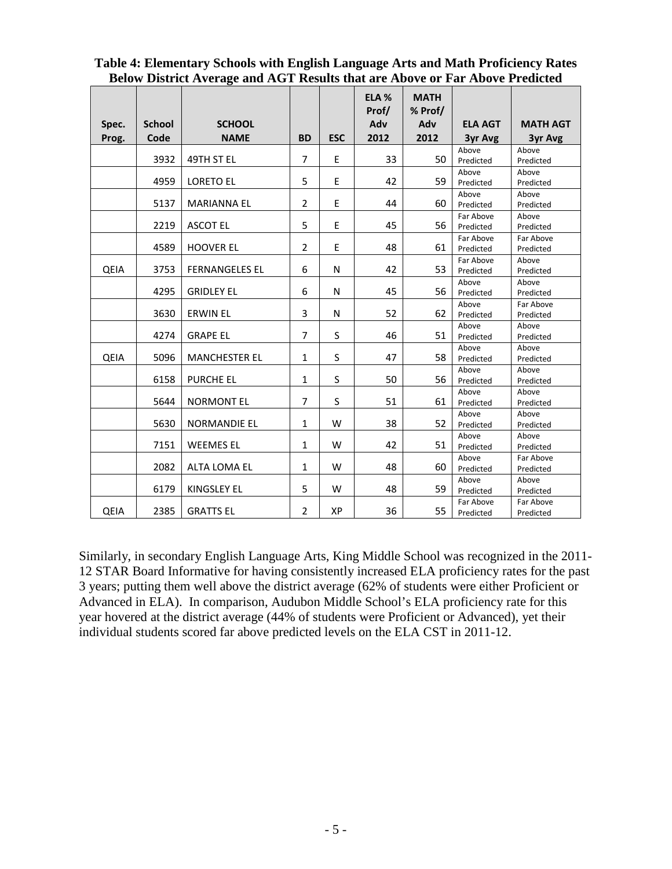| Table 4: Elementary Schools with English Language Arts and Math Proficiency Rates   |  |
|-------------------------------------------------------------------------------------|--|
| <b>Below District Average and AGT Results that are Above or Far Above Predicted</b> |  |

|             |               |                       |                |            | ELA %<br>Prof/ | <b>MATH</b><br>% Prof/ |                        |                    |
|-------------|---------------|-----------------------|----------------|------------|----------------|------------------------|------------------------|--------------------|
| Spec.       | <b>School</b> | <b>SCHOOL</b>         |                |            | Adv            | Adv                    | <b>ELA AGT</b>         | <b>MATH AGT</b>    |
| Prog.       | Code          | <b>NAME</b>           | <b>BD</b>      | <b>ESC</b> | 2012           | 2012                   | 3yr Avg                | 3yr Avg            |
|             |               |                       |                |            |                |                        | Above                  | Above              |
|             | 3932          | 49TH ST EL            | $\overline{7}$ | E          | 33             | 50                     | Predicted              | Predicted          |
|             |               |                       |                |            |                |                        | Above                  | Above              |
|             | 4959          | <b>LORETO EL</b>      | 5              | E          | 42             | 59                     | Predicted              | Predicted          |
|             |               |                       |                |            |                |                        | Above                  | Above              |
|             | 5137          | <b>MARIANNA EL</b>    | $\overline{2}$ | E          | 44             | 60                     | Predicted              | Predicted          |
|             | 2219          |                       | 5              | E          | 45             | 56                     | Far Above              | Above              |
|             |               | <b>ASCOT EL</b>       |                |            |                |                        | Predicted              | Predicted          |
|             | 4589          | <b>HOOVER EL</b>      | $\overline{2}$ | E          | 48             | 61                     | Far Above              | Far Above          |
|             |               |                       |                |            |                |                        | Predicted<br>Far Above | Predicted<br>Above |
| QEIA        | 3753          | <b>FERNANGELES EL</b> | 6              | N          | 42             | 53                     | Predicted              | Predicted          |
|             |               |                       |                |            |                |                        | Above                  | Above              |
|             | 4295          | <b>GRIDLEY EL</b>     | 6              | N          | 45             | 56                     | Predicted              | Predicted          |
|             |               |                       |                |            |                |                        | Above                  | Far Above          |
|             | 3630          | <b>ERWIN EL</b>       | 3              | N          | 52             | 62                     | Predicted              | Predicted          |
|             |               |                       |                |            |                |                        | Above                  | Above              |
|             | 4274          | <b>GRAPE EL</b>       | $\overline{7}$ | S          | 46             | 51                     | Predicted              | Predicted          |
|             |               |                       |                |            |                |                        | Above                  | Above              |
| <b>QEIA</b> | 5096          | <b>MANCHESTER EL</b>  | $\mathbf{1}$   | S          | 47             | 58                     | Predicted              | Predicted          |
|             |               |                       |                |            |                |                        | Above                  | Above              |
|             | 6158          | <b>PURCHE EL</b>      | $\mathbf{1}$   | S          | 50             | 56                     | Predicted              | Predicted          |
|             |               |                       |                |            |                |                        | Above                  | Above              |
|             | 5644          | <b>NORMONT EL</b>     | $\overline{7}$ | S          | 51             | 61                     | Predicted              | Predicted          |
|             | 5630          | <b>NORMANDIE EL</b>   | $\mathbf{1}$   | W          | 38             | 52                     | Above                  | Above              |
|             |               |                       |                |            |                |                        | Predicted              | Predicted          |
|             | 7151          | <b>WEEMES EL</b>      | $\mathbf{1}$   | W          | 42             | 51                     | Above<br>Predicted     | Above<br>Predicted |
|             |               |                       |                |            |                |                        | Above                  | Far Above          |
|             | 2082          | <b>ALTA LOMA EL</b>   | $\mathbf{1}$   | W          | 48             | 60                     | Predicted              | Predicted          |
|             |               |                       |                |            |                |                        | Above                  | Above              |
|             | 6179          | <b>KINGSLEY EL</b>    | 5              | W          | 48             | 59                     | Predicted              | Predicted          |
|             |               |                       |                |            |                |                        | Far Above              | Far Above          |
| QEIA        | 2385          | <b>GRATTS EL</b>      | $\overline{2}$ | XP         | 36             | 55                     | Predicted              | Predicted          |

Similarly, in secondary English Language Arts, King Middle School was recognized in the 2011- 12 STAR Board Informative for having consistently increased ELA proficiency rates for the past 3 years; putting them well above the district average (62% of students were either Proficient or Advanced in ELA). In comparison, Audubon Middle School's ELA proficiency rate for this year hovered at the district average (44% of students were Proficient or Advanced), yet their individual students scored far above predicted levels on the ELA CST in 2011-12.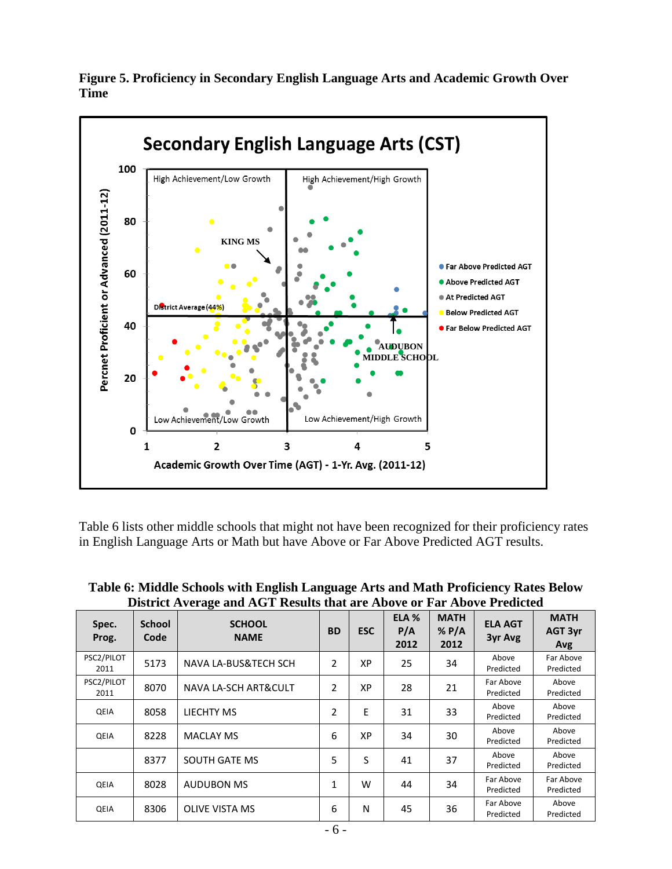



Table 6 lists other middle schools that might not have been recognized for their proficiency rates in English Language Arts or Math but have Above or Far Above Predicted AGT results.

| Spec.<br>Prog.     | <b>School</b><br>Code | District Interage and Hold Incomes that are Hoote of Tar Hoote Interacted<br><b>SCHOOL</b><br><b>NAME</b> | <b>BD</b> | <b>ESC</b> | ELA <sub>%</sub><br>P/A<br>2012 | <b>MATH</b><br>$%$ P/A<br>2012 | <b>ELA AGT</b><br>3yr Avg | <b>MATH</b><br>AGT 3yr<br>Avg |
|--------------------|-----------------------|-----------------------------------------------------------------------------------------------------------|-----------|------------|---------------------------------|--------------------------------|---------------------------|-------------------------------|
| PSC2/PILOT<br>2011 | 5173                  | NAVA LA-BUS&TECH SCH                                                                                      | 2         | ХP         | 25                              | 34                             | Above<br>Predicted        | Far Above<br>Predicted        |
| PSC2/PILOT<br>2011 | 8070                  | <b>NAVA LA-SCH ART&amp;CULT</b>                                                                           | 2         | XP         | 28                              | 21                             | Far Above<br>Predicted    | Above<br>Predicted            |
| QEIA               | 8058                  | LIECHTY MS                                                                                                | 2         | E          | 31                              | 33                             | Above<br>Predicted        | Above<br>Predicted            |
| QEIA               | 8228                  | <b>MACLAY MS</b>                                                                                          | 6         | XP         | 34                              | 30                             | Above<br>Predicted        | Above<br>Predicted            |
|                    | 8377                  | SOUTH GATE MS                                                                                             | 5         | S          | 41                              | 37                             | Above<br>Predicted        | Above<br>Predicted            |
| QEIA               | 8028                  | <b>AUDUBON MS</b>                                                                                         | 1         | W          | 44                              | 34                             | Far Above<br>Predicted    | Far Above<br>Predicted        |
| QEIA               | 8306                  | <b>OLIVE VISTA MS</b>                                                                                     | 6         | N          | 45                              | 36                             | Far Above<br>Predicted    | Above<br>Predicted            |

**Table 6: Middle Schools with English Language Arts and Math Proficiency Rates Below District Average and AGT Results that are Above or Far Above Predicted**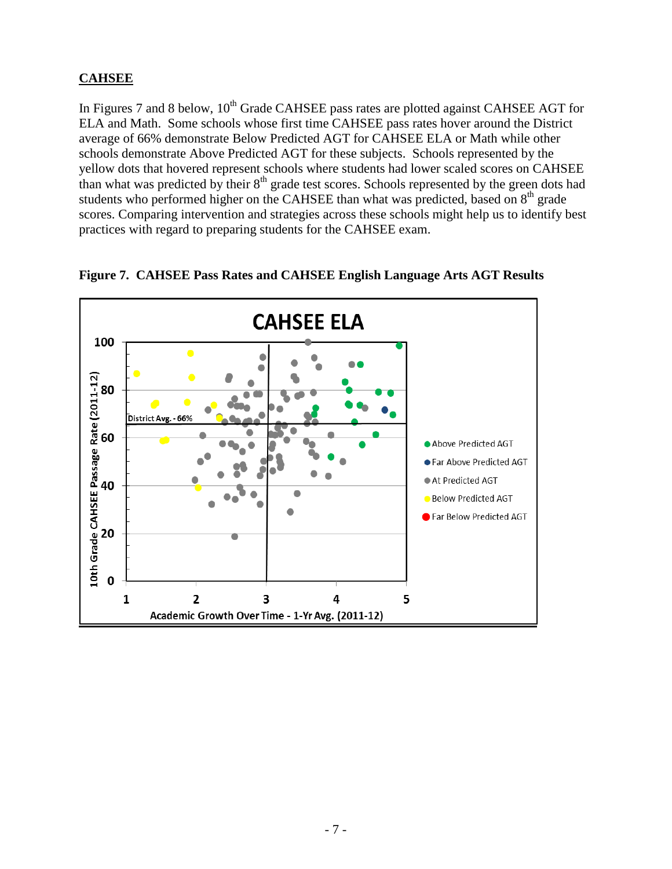# **CAHSEE**

In Figures 7 and 8 below,  $10^{th}$  Grade CAHSEE pass rates are plotted against CAHSEE AGT for ELA and Math. Some schools whose first time CAHSEE pass rates hover around the District average of 66% demonstrate Below Predicted AGT for CAHSEE ELA or Math while other schools demonstrate Above Predicted AGT for these subjects. Schools represented by the yellow dots that hovered represent schools where students had lower scaled scores on CAHSEE than what was predicted by their  $8<sup>th</sup>$  grade test scores. Schools represented by the green dots had students who performed higher on the CAHSEE than what was predicted, based on 8<sup>th</sup> grade scores. Comparing intervention and strategies across these schools might help us to identify best practices with regard to preparing students for the CAHSEE exam.

![](_page_6_Figure_2.jpeg)

**Figure 7. CAHSEE Pass Rates and CAHSEE English Language Arts AGT Results**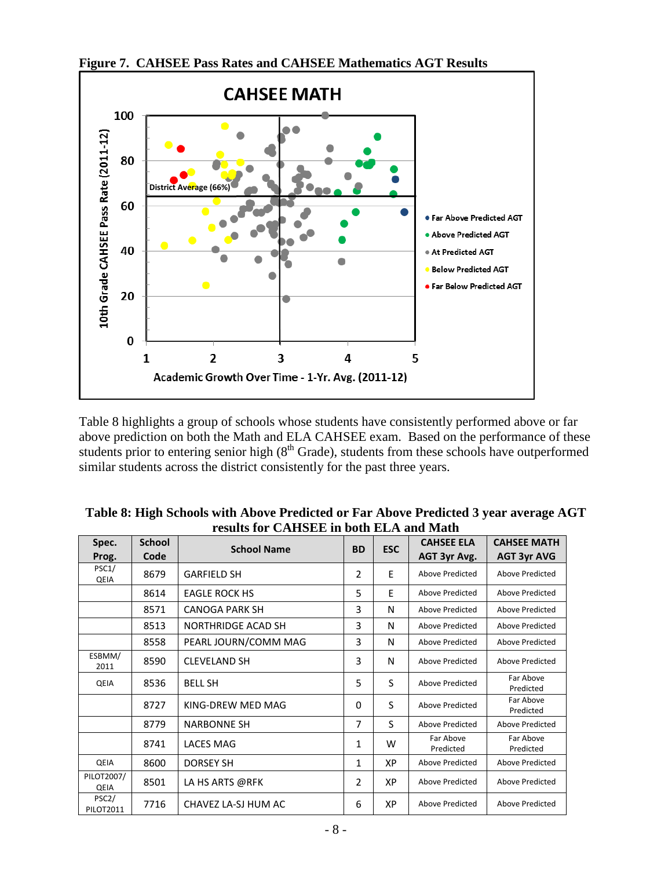![](_page_7_Figure_0.jpeg)

**Figure 7. CAHSEE Pass Rates and CAHSEE Mathematics AGT Results**

Table 8 highlights a group of schools whose students have consistently performed above or far above prediction on both the Math and ELA CAHSEE exam. Based on the performance of these students prior to entering senior high ( $8<sup>th</sup>$  Grade), students from these schools have outperformed similar students across the district consistently for the past three years.

| Spec.                                  | <b>School</b> | <b>School Name</b>        | <b>BD</b>      | <b>ESC</b> | <b>CAHSEE ELA</b>      | <b>CAHSEE MATH</b>     |  |  |  |
|----------------------------------------|---------------|---------------------------|----------------|------------|------------------------|------------------------|--|--|--|
| Prog.                                  | Code          |                           |                |            | AGT 3yr Avg.           | <b>AGT 3yr AVG</b>     |  |  |  |
| PSC1/<br>QEIA                          | 8679          | <b>GARFIELD SH</b>        | $\overline{2}$ | E          | Above Predicted        | Above Predicted        |  |  |  |
|                                        | 8614          | <b>EAGLE ROCK HS</b>      | 5              | E          | Above Predicted        | Above Predicted        |  |  |  |
|                                        | 8571          | CANOGA PARK SH            | 3              | N          | Above Predicted        | Above Predicted        |  |  |  |
|                                        | 8513          | <b>NORTHRIDGE ACAD SH</b> | 3              | N          | Above Predicted        | Above Predicted        |  |  |  |
|                                        | 8558          | PEARL JOURN/COMM MAG      | 3              | N          | Above Predicted        | Above Predicted        |  |  |  |
| ESBMM/<br>2011                         | 8590          | <b>CLEVELAND SH</b>       | 3              | N          | Above Predicted        | Above Predicted        |  |  |  |
| QEIA                                   | 8536          | <b>BELL SH</b>            | 5              | S          | Above Predicted        | Far Above<br>Predicted |  |  |  |
|                                        | 8727          | KING-DREW MED MAG         | $\Omega$       | S          | Above Predicted        | Far Above<br>Predicted |  |  |  |
|                                        | 8779          | <b>NARBONNE SH</b>        | 7              | S          | Above Predicted        | Above Predicted        |  |  |  |
|                                        | 8741          | LACES MAG                 | 1              | W          | Far Above<br>Predicted | Far Above<br>Predicted |  |  |  |
| <b>QEIA</b>                            | 8600          | <b>DORSEY SH</b>          | 1              | XP         | Above Predicted        | Above Predicted        |  |  |  |
| PILOT2007/<br>QEIA                     | 8501          | LA HS ARTS @RFK           | $\overline{2}$ | XP         | Above Predicted        | Above Predicted        |  |  |  |
| PSC <sub>2</sub> /<br><b>PILOT2011</b> | 7716          | CHAVEZ LA-SJ HUM AC       | 6              | XP         | Above Predicted        | Above Predicted        |  |  |  |

| Table 8: High Schools with Above Predicted or Far Above Predicted 3 year average AGT |
|--------------------------------------------------------------------------------------|
| results for CAHSEE in both ELA and Math                                              |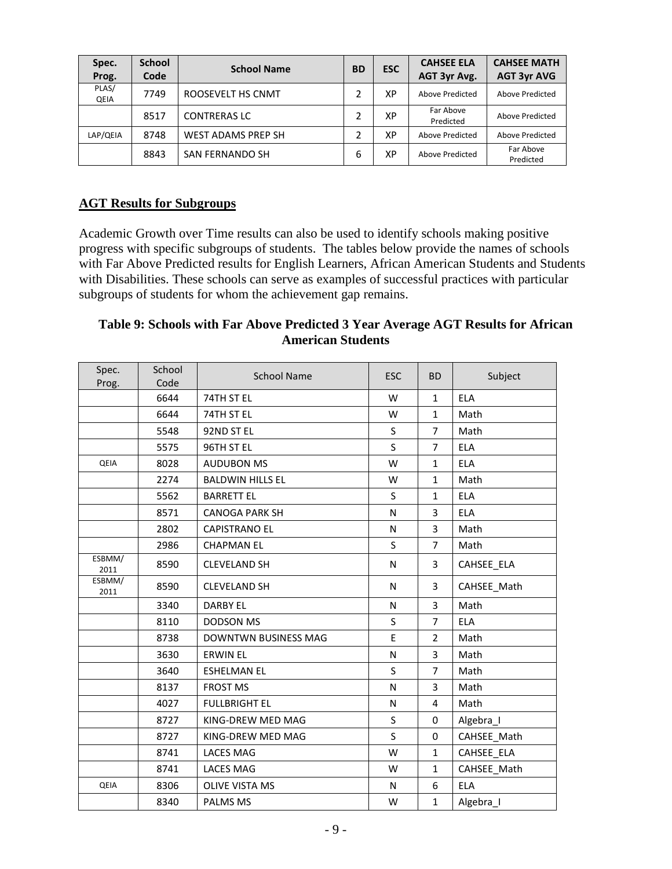| Spec.<br>Prog. | <b>School</b><br>Code | <b>School Name</b>        | <b>BD</b> | <b>ESC</b> | <b>CAHSEE ELA</b><br>AGT 3yr Avg. | <b>CAHSEE MATH</b><br><b>AGT 3yr AVG</b> |
|----------------|-----------------------|---------------------------|-----------|------------|-----------------------------------|------------------------------------------|
| PLAS/<br>QEIA  | 7749                  | ROOSEVELT HS CNMT         |           | XP         | Above Predicted                   | Above Predicted                          |
|                | 8517                  | <b>CONTRERAS LC</b>       |           | XP         | Far Above<br>Predicted            | Above Predicted                          |
| LAP/QEIA       | 8748                  | <b>WEST ADAMS PREP SH</b> |           | XP         | Above Predicted                   | Above Predicted                          |
|                | 8843                  | SAN FERNANDO SH           | 6         | ХP         | Above Predicted                   | Far Above<br>Predicted                   |

### **AGT Results for Subgroups**

Academic Growth over Time results can also be used to identify schools making positive progress with specific subgroups of students. The tables below provide the names of schools with Far Above Predicted results for English Learners, African American Students and Students with Disabilities. These schools can serve as examples of successful practices with particular subgroups of students for whom the achievement gap remains.

### **Table 9: Schools with Far Above Predicted 3 Year Average AGT Results for African American Students**

| Spec.<br>Prog. | School<br>Code | <b>School Name</b>          | <b>ESC</b> | <b>BD</b>      | Subject     |
|----------------|----------------|-----------------------------|------------|----------------|-------------|
|                | 6644           | 74TH ST EL                  | W          | $\mathbf{1}$   | <b>ELA</b>  |
|                | 6644           | 74TH ST EL                  | W          | $\mathbf{1}$   | Math        |
|                | 5548           | 92ND ST EL                  | S          | $\overline{7}$ | Math        |
|                | 5575           | 96TH ST EL                  | S          | $\overline{7}$ | <b>ELA</b>  |
| QEIA           | 8028           | <b>AUDUBON MS</b>           | W          | $\mathbf{1}$   | <b>ELA</b>  |
|                | 2274           | <b>BALDWIN HILLS EL</b>     | W          | $\mathbf{1}$   | Math        |
|                | 5562           | <b>BARRETT EL</b>           | S          | $\mathbf{1}$   | ELA         |
|                | 8571           | <b>CANOGA PARK SH</b>       | N          | 3              | ELA         |
|                | 2802           | <b>CAPISTRANO EL</b>        | N          | 3              | Math        |
|                | 2986           | <b>CHAPMAN EL</b>           | S          | $\overline{7}$ | Math        |
| ESBMM/<br>2011 | 8590           | <b>CLEVELAND SH</b>         | N          | 3              | CAHSEE ELA  |
| ESBMM/<br>2011 | 8590           | <b>CLEVELAND SH</b>         | N          | 3              | CAHSEE Math |
|                | 3340           | <b>DARBY EL</b>             | N          | 3              | Math        |
|                | 8110           | <b>DODSON MS</b>            | S          | 7              | <b>ELA</b>  |
|                | 8738           | <b>DOWNTWN BUSINESS MAG</b> | E          | $\overline{2}$ | Math        |
|                | 3630           | <b>ERWIN EL</b>             | N          | 3              | Math        |
|                | 3640           | <b>ESHELMAN EL</b>          | S          | $\overline{7}$ | Math        |
|                | 8137           | <b>FROST MS</b>             | N          | 3              | Math        |
|                | 4027           | <b>FULLBRIGHT EL</b>        | N          | 4              | Math        |
|                | 8727           | KING-DREW MED MAG           | S          | $\Omega$       | Algebra_I   |
|                | 8727           | KING-DREW MED MAG           | S          | $\mathbf 0$    | CAHSEE Math |
|                | 8741           | <b>LACES MAG</b>            | W          | $\mathbf{1}$   | CAHSEE ELA  |
|                | 8741           | <b>LACES MAG</b>            | W          | $\mathbf{1}$   | CAHSEE_Math |
| QEIA           | 8306           | <b>OLIVE VISTA MS</b>       | N          | 6              | <b>ELA</b>  |
|                | 8340           | <b>PALMS MS</b>             | W          | $\mathbf{1}$   | Algebra_I   |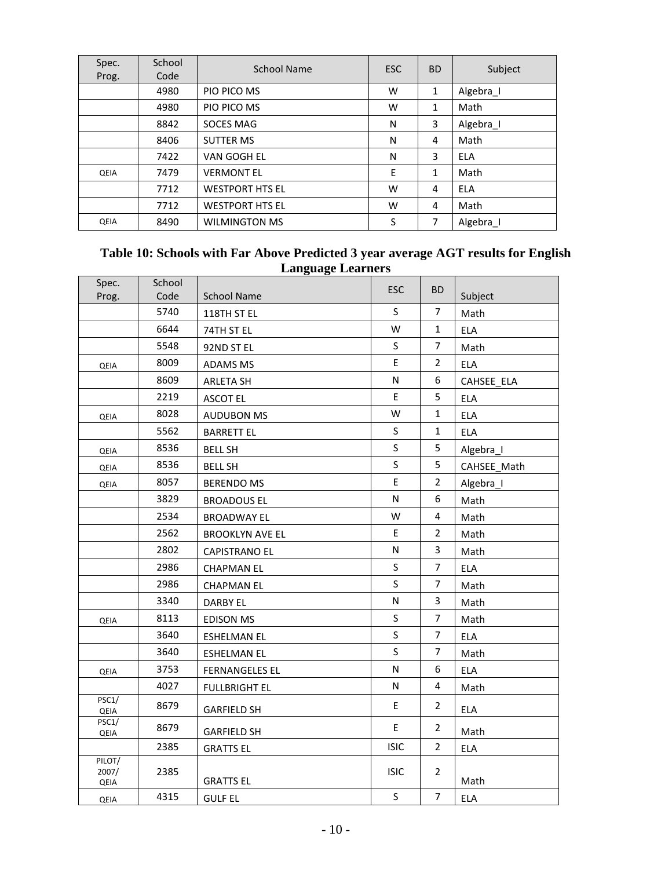| Spec.<br>Prog. | School<br>Code | School Name            | <b>ESC</b> | <b>BD</b> | Subject    |
|----------------|----------------|------------------------|------------|-----------|------------|
|                | 4980           | PIO PICO MS            | W          | 1         | Algebra I  |
|                | 4980           | PIO PICO MS            | W          | 1         | Math       |
|                | 8842           | SOCES MAG              | N          | 3         | Algebra_I  |
|                | 8406           | <b>SUTTER MS</b>       | N          | 4         | Math       |
|                | 7422           | VAN GOGH EL            | N          | 3         | <b>ELA</b> |
| QEIA           | 7479           | <b>VERMONT EL</b>      | E          | 1         | Math       |
|                | 7712           | <b>WESTPORT HTS EL</b> | W          | 4         | <b>ELA</b> |
|                | 7712           | <b>WESTPORT HTS EL</b> | W          | 4         | Math       |
| QEIA           | 8490           | <b>WILMINGTON MS</b>   | S          | 7         | Algebra I  |

## **Table 10: Schools with Far Above Predicted 3 year average AGT results for English Language Learners**

| Spec.<br>Prog.          | School<br>Code | <b>School Name</b>     | <b>ESC</b>  | <b>BD</b>      | Subject     |
|-------------------------|----------------|------------------------|-------------|----------------|-------------|
|                         | 5740           | 118TH ST EL            | $\sf S$     | $\overline{7}$ | Math        |
|                         | 6644           | 74TH ST EL             | W           | $\mathbf{1}$   | <b>ELA</b>  |
|                         | 5548           | 92ND ST EL             | S           | $\overline{7}$ | Math        |
| QEIA                    | 8009           | <b>ADAMS MS</b>        | $\mathsf E$ | $\overline{2}$ | <b>ELA</b>  |
|                         | 8609           | <b>ARLETA SH</b>       | N           | 6              | CAHSEE ELA  |
|                         | 2219           | <b>ASCOT EL</b>        | $\mathsf E$ | 5              | ELA         |
| QEIA                    | 8028           | <b>AUDUBON MS</b>      | W           | $\mathbf{1}$   | <b>ELA</b>  |
|                         | 5562           | <b>BARRETT EL</b>      | S           | $\mathbf 1$    | <b>ELA</b>  |
| QEIA                    | 8536           | <b>BELL SH</b>         | S           | 5              | Algebra_I   |
| QEIA                    | 8536           | <b>BELL SH</b>         | S           | 5              | CAHSEE_Math |
| QEIA                    | 8057           | <b>BERENDO MS</b>      | E           | $\overline{2}$ | Algebra_I   |
|                         | 3829           | <b>BROADOUS EL</b>     | N           | 6              | Math        |
|                         | 2534           | <b>BROADWAY EL</b>     | W           | 4              | Math        |
|                         | 2562           | <b>BROOKLYN AVE EL</b> | E           | $\overline{2}$ | Math        |
|                         | 2802           | <b>CAPISTRANO EL</b>   | N           | 3              | Math        |
|                         | 2986           | <b>CHAPMAN EL</b>      | $\sf S$     | 7              | <b>ELA</b>  |
|                         | 2986           | <b>CHAPMAN EL</b>      | S           | $\overline{7}$ | Math        |
|                         | 3340           | <b>DARBY EL</b>        | N           | 3              | Math        |
| QEIA                    | 8113           | <b>EDISON MS</b>       | S           | $\overline{7}$ | Math        |
|                         | 3640           | <b>ESHELMAN EL</b>     | S           | $\overline{7}$ | <b>ELA</b>  |
|                         | 3640           | <b>ESHELMAN EL</b>     | $\sf S$     | 7              | Math        |
| QEIA                    | 3753           | <b>FERNANGELES EL</b>  | N           | 6              | <b>ELA</b>  |
|                         | 4027           | <b>FULLBRIGHT EL</b>   | ${\sf N}$   | $\overline{4}$ | Math        |
| PSC1/<br>QEIA           | 8679           | <b>GARFIELD SH</b>     | E           | $\overline{2}$ | ELA         |
| PSC1/<br>QEIA           | 8679           | <b>GARFIELD SH</b>     | E           | 2              | Math        |
|                         | 2385           | <b>GRATTS EL</b>       | <b>ISIC</b> | $\overline{2}$ | <b>ELA</b>  |
| PILOT/<br>2007/<br>QEIA | 2385           | <b>GRATTS EL</b>       | <b>ISIC</b> | 2              | Math        |
| QEIA                    | 4315           | <b>GULF EL</b>         | S           | $\overline{7}$ | <b>ELA</b>  |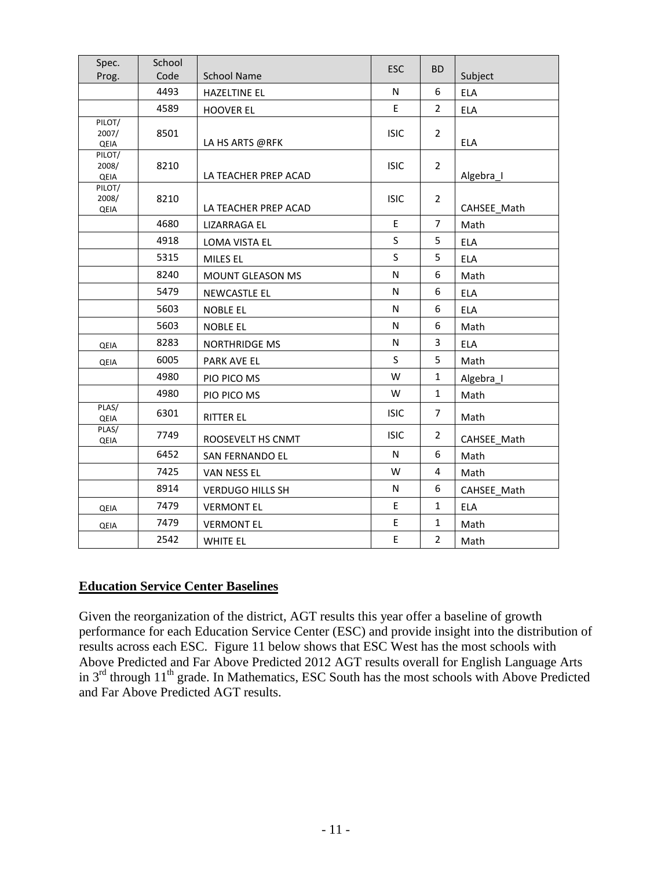| Spec.<br>Prog.          | School<br>Code | <b>School Name</b>      | ESC         | <b>BD</b>      | Subject     |
|-------------------------|----------------|-------------------------|-------------|----------------|-------------|
|                         | 4493           | <b>HAZELTINE EL</b>     | N           | 6              | <b>ELA</b>  |
|                         | 4589           | <b>HOOVER EL</b>        | E           | $\overline{2}$ | <b>ELA</b>  |
| PILOT/<br>2007/<br>QEIA | 8501           | LA HS ARTS @RFK         | <b>ISIC</b> | $\overline{2}$ | ELA         |
| PILOT/<br>2008/<br>QEIA | 8210           | LA TEACHER PREP ACAD    | <b>ISIC</b> | $\overline{2}$ | Algebra_I   |
| PILOT/<br>2008/<br>QEIA | 8210           | LA TEACHER PREP ACAD    | <b>ISIC</b> | $\overline{2}$ | CAHSEE Math |
|                         | 4680           | LIZARRAGA EL            | E           | $\overline{7}$ | Math        |
|                         | 4918           | <b>LOMA VISTA EL</b>    | S           | 5              | <b>ELA</b>  |
|                         | 5315           | MILES EL                | S           | 5              | <b>ELA</b>  |
|                         | 8240           | <b>MOUNT GLEASON MS</b> | N           | 6              | Math        |
|                         | 5479           | <b>NEWCASTLE EL</b>     | N           | 6              | <b>ELA</b>  |
|                         | 5603           | <b>NOBLE EL</b>         | N           | 6              | <b>ELA</b>  |
|                         | 5603           | <b>NOBLE EL</b>         | N           | 6              | Math        |
| QEIA                    | 8283           | NORTHRIDGE MS           | N           | 3              | <b>ELA</b>  |
| QEIA                    | 6005           | PARK AVE EL             | S           | 5              | Math        |
|                         | 4980           | PIO PICO MS             | W           | $\mathbf{1}$   | Algebra_I   |
|                         | 4980           | PIO PICO MS             | W           | $\mathbf{1}$   | Math        |
| PLAS/<br>QEIA           | 6301           | <b>RITTER EL</b>        | <b>ISIC</b> | $\overline{7}$ | Math        |
| PLAS/<br>QEIA           | 7749           | ROOSEVELT HS CNMT       | <b>ISIC</b> | $\overline{2}$ | CAHSEE Math |
|                         | 6452           | SAN FERNANDO EL         | N           | 6              | Math        |
|                         | 7425           | VAN NESS EL             | W           | 4              | Math        |
|                         | 8914           | <b>VERDUGO HILLS SH</b> | N           | 6              | CAHSEE Math |
| QEIA                    | 7479           | <b>VERMONT EL</b>       | E           | $\mathbf{1}$   | <b>ELA</b>  |
| QEIA                    | 7479           | <b>VERMONT EL</b>       | E           | $\mathbf{1}$   | Math        |
|                         | 2542           | <b>WHITE EL</b>         | E           | $\overline{2}$ | Math        |

### **Education Service Center Baselines**

Given the reorganization of the district, AGT results this year offer a baseline of growth performance for each Education Service Center (ESC) and provide insight into the distribution of results across each ESC. Figure 11 below shows that ESC West has the most schools with Above Predicted and Far Above Predicted 2012 AGT results overall for English Language Arts in  $3<sup>rd</sup>$  through  $11<sup>th</sup>$  grade. In Mathematics, ESC South has the most schools with Above Predicted and Far Above Predicted AGT results.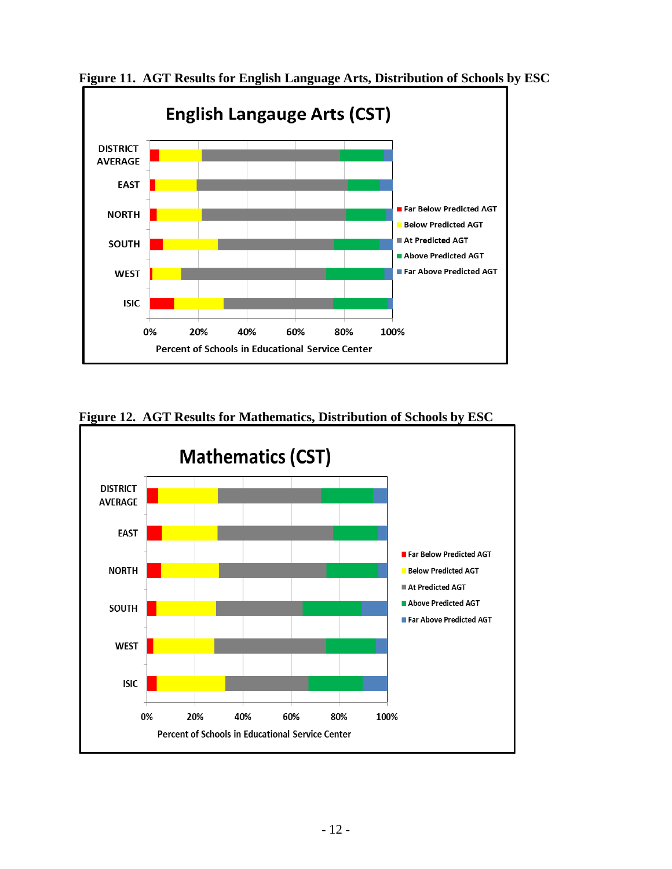![](_page_11_Figure_0.jpeg)

**Figure 11. AGT Results for English Language Arts, Distribution of Schools by ESC** 

![](_page_11_Figure_2.jpeg)

**Figure 12. AGT Results for Mathematics, Distribution of Schools by ESC**